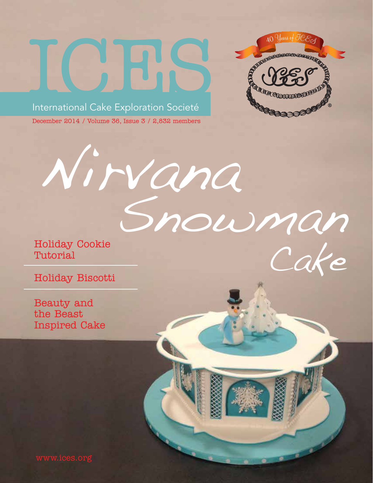



Cake

Snowman

December 2014 / Volume 36, Issue 3 / 2,832 members

Nirvana

Holiday Cookie Tutorial

Holiday Biscotti

Beauty and the Beast Inspired Cake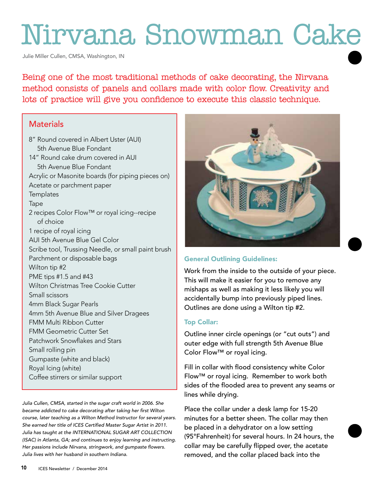# Nirvana Snowman Cake

Julie Miller Cullen, CMSA, Washington, IN

Being one of the most traditional methods of cake decorating, the Nirvana method consists of panels and collars made with color flow. Creativity and lots of practice will give you confidence to execute this classic technique.

# **Materials**

8" Round covered in Albert Uster (AUI) 5th Avenue Blue Fondant 14" Round cake drum covered in AUI 5th Avenue Blue Fondant Acrylic or Masonite boards (for piping pieces on) Acetate or parchment paper **Templates** Tape 2 recipes Color Flow™ or royal icing--recipe of choice 1 recipe of royal icing AUI 5th Avenue Blue Gel Color Scribe tool, Trussing Needle, or small paint brush Parchment or disposable bags Wilton tip #2 PME tips #1.5 and #43 Wilton Christmas Tree Cookie Cutter Small scissors 4mm Black Sugar Pearls 4mm 5th Avenue Blue and Silver Dragees FMM Multi Ribbon Cutter FMM Geometric Cutter Set Patchwork Snowflakes and Stars Small rolling pin Gumpaste (white and black) Royal Icing (white) Coffee stirrers or similar support

Julia Cullen, CMSA, started in the sugar craft world in 2006. She became addicted to cake decorating after taking her first Wilton course, later teaching as a Wilton Method Instructor for several years. She earned her title of ICES Certified Master Sugar Artist in 2011. Julia has taught at the INTERNATIONAL SUGAR ART COLLECTION (ISAC) in Atlanta, GA; and continues to enjoy learning and instructing. Her passions include Nirvana, stringwork, and gumpaste flowers. Julia lives with her husband in southern Indiana.



# General Outlining Guidelines:

Work from the inside to the outside of your piece. This will make it easier for you to remove any mishaps as well as making it less likely you will accidentally bump into previously piped lines. Outlines are done using a Wilton tip #2.

## Top Collar:

Outline inner circle openings (or "cut outs") and outer edge with full strength 5th Avenue Blue Color Flow™ or royal icing.

Fill in collar with flood consistency white Color Flow™ or royal icing. Remember to work both sides of the flooded area to prevent any seams or lines while drying.

Place the collar under a desk lamp for 15-20 minutes for a better sheen. The collar may then be placed in a dehydrator on a low setting (95°Fahrenheit) for several hours. In 24 hours, the collar may be carefully flipped over, the acetate removed, and the collar placed back into the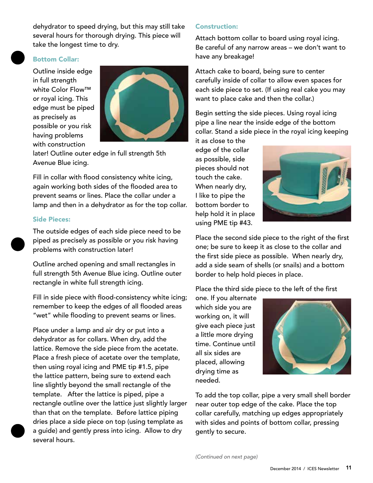dehydrator to speed drying, but this may still take<br>several hours for thorough drying. This piece will<br>take the longest time to dry. several hours for thorough drying. This piece will take the longest time to dry.

# Bottom Collar:

Outline inside edge in full strength white Color Flow™ or royal icing. This edge must be piped as precisely as possible or you risk having problems with construction



later! Outline outer edge in full strength 5th Avenue Blue icing.

Fill in collar with flood consistency white icing, again working both sides of the flooded area to prevent seams or lines. Place the collar under a lamp and then in a dehydrator as for the top collar.

#### Side Pieces:

The outside edges of each side piece need to be piped as precisely as possible or you risk having problems with construction later!

Outline arched opening and small rectangles in full strength 5th Avenue Blue icing. Outline outer rectangle in white full strength icing.

Fill in side piece with flood-consistency white icing; remember to keep the edges of all flooded areas "wet" while flooding to prevent seams or lines.

Place under a lamp and air dry or put into a dehydrator as for collars. When dry, add the lattice. Remove the side piece from the acetate. Place a fresh piece of acetate over the template, then using royal icing and PME tip #1.5, pipe the lattice pattern, being sure to extend each line slightly beyond the small rectangle of the template. After the lattice is piped, pipe a rectangle outline over the lattice just slightly larger than that on the template. Before lattice piping dries place a side piece on top (using template as a guide) and gently press into icing. Allow to dry several hours.

#### Construction:

Attach bottom collar to board using royal icing. Be careful of any narrow areas – we don't want to have any breakage!

Attach cake to board, being sure to center carefully inside of collar to allow even spaces for each side piece to set. (If using real cake you may want to place cake and then the collar.)

Begin setting the side pieces. Using royal icing pipe a line near the inside edge of the bottom collar. Stand a side piece in the royal icing keeping

it as close to the edge of the collar as possible, side pieces should not touch the cake. When nearly dry, I like to pipe the bottom border to help hold it in place using PME tip #43.



Place the second side piece to the right of the first one; be sure to keep it as close to the collar and the first side piece as possible. When nearly dry, add a side seam of shells (or snails) and a bottom border to help hold pieces in place.

Place the third side piece to the left of the first

one. If you alternate which side you are working on, it will give each piece just a little more drying time. Continue until all six sides are placed, allowing drying time as needed.



To add the top collar, pipe a very small shell border near outer top edge of the cake. Place the top collar carefully, matching up edges appropriately with sides and points of bottom collar, pressing gently to secure.